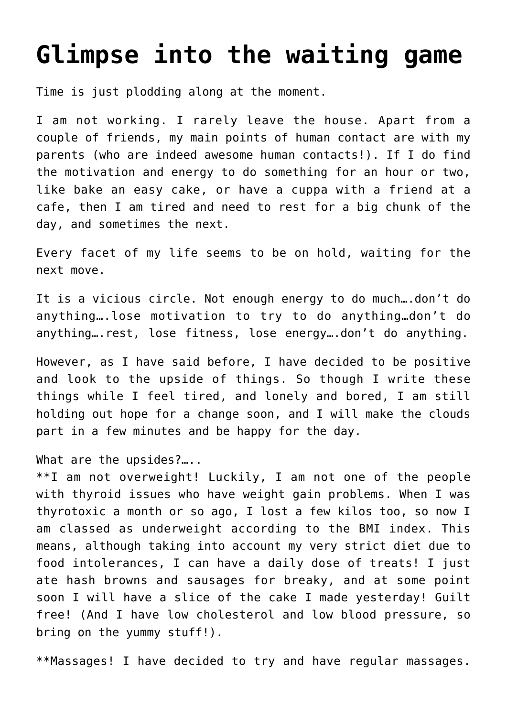## **[Glimpse into the waiting game](https://www.glimpsinggembles.com/2013/01/15/glimpse-into-the-waiting-game/)**

Time is just plodding along at the moment.

I am not working. I rarely leave the house. Apart from a couple of friends, my main points of human contact are with my parents (who are indeed awesome human contacts!). If I do find the motivation and energy to do something for an hour or two, like bake an easy cake, or have a cuppa with a friend at a cafe, then I am tired and need to rest for a big chunk of the day, and sometimes the next.

Every facet of my life seems to be on hold, waiting for the next move.

It is a vicious circle. Not enough energy to do much….don't do anything….lose motivation to try to do anything…don't do anything….rest, lose fitness, lose energy….don't do anything.

However, as I have said before, I have decided to be positive and look to the upside of things. So though I write these things while I feel tired, and lonely and bored, I am still holding out hope for a change soon, and I will make the clouds part in a few minutes and be happy for the day.

What are the upsides?…..

\*\*I am not overweight! Luckily, I am not one of the people with thyroid issues who have weight gain problems. When I was thyrotoxic a month or so ago, I lost a few kilos too, so now I am classed as underweight according to the BMI index. This means, although taking into account my very strict diet due to food intolerances, I can have a daily dose of treats! I just ate hash browns and sausages for breaky, and at some point soon I will have a slice of the cake I made yesterday! Guilt free! (And I have low cholesterol and low blood pressure, so bring on the yummy stuff!).

\*\*Massages! I have decided to try and have regular massages.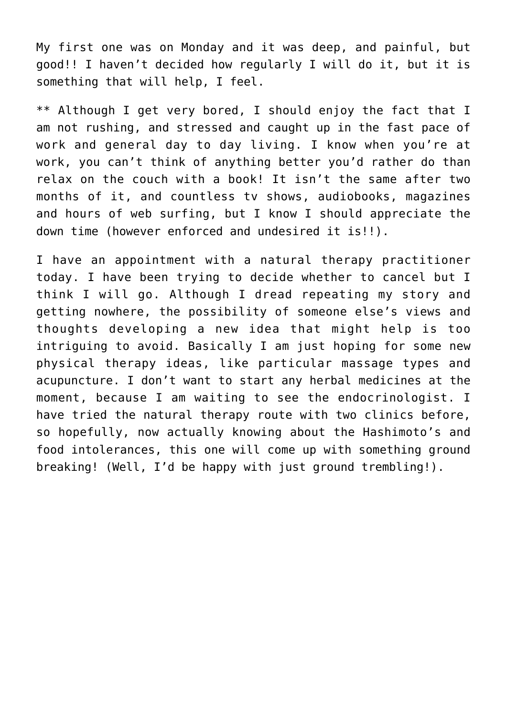My first one was on Monday and it was deep, and painful, but good!! I haven't decided how regularly I will do it, but it is something that will help, I feel.

\*\* Although I get very bored, I should enjoy the fact that I am not rushing, and stressed and caught up in the fast pace of work and general day to day living. I know when you're at work, you can't think of anything better you'd rather do than relax on the couch with a book! It isn't the same after two months of it, and countless tv shows, audiobooks, magazines and hours of web surfing, but I know I should appreciate the down time (however enforced and undesired it is!!).

I have an appointment with a natural therapy practitioner today. I have been trying to decide whether to cancel but I think I will go. Although I dread repeating my story and getting nowhere, the possibility of someone else's views and thoughts developing a new idea that might help is too intriguing to avoid. Basically I am just hoping for some new physical therapy ideas, like particular massage types and acupuncture. I don't want to start any herbal medicines at the moment, because I am waiting to see the endocrinologist. I have tried the natural therapy route with two clinics before, so hopefully, now actually knowing about the Hashimoto's and food intolerances, this one will come up with something ground breaking! (Well, I'd be happy with just ground trembling!).